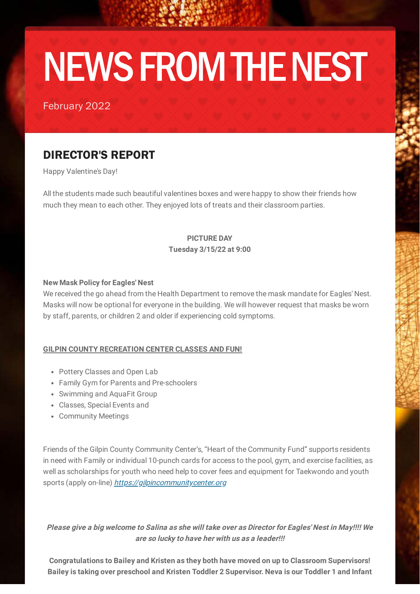# NEWS FROM THE NEST

February 2022

## DIRECTOR'S REPORT

Happy Valentine's Day!

All the students made such beautiful valentines boxes and were happy to show their friends how much they mean to each other. They enjoyed lots of treats and their classroom parties.

#### **PICTURE DAY Tuesday 3/15/22 at 9:00**

#### **New Mask Policy for Eagles' Nest**

We received the go ahead from the Health Department to remove the mask mandate for Eagles' Nest. Masks will now be optional for everyone in the building. We will however request that masks be worn by staff, parents, or children 2 and older if experiencing cold symptoms.

#### **GILPIN COUNTY RECREATION CENTER CLASSES AND FUN!**

- Pottery Classes and Open Lab
- Family Gym for Parents and Pre-schoolers
- Swimming and AquaFit Group
- Classes, Special Events and
- Community Meetings

Friends of the Gilpin County Community Center's, "Heart of the Community Fund" supports residents in need with Family or individual 10-punch cards for access to the pool, gym, and exercise facilities, as well as scholarships for youth who need help to cover fees and equipment for Taekwondo and youth sports (apply on-line) [https://gilpincommunitycenter.org](https://gilpincommunitycenter.org/)

**Please give a big welcome to Salina as she will take over as Director for Eagles' Nest in May!!!! We are so lucky to have her with us as a leader!!!**

**Congratulations to Bailey and Kristen as they both have moved on up to Classroom Supervisors! Bailey is taking over preschool and Kristen Toddler 2 Supervisor. Neva is our Toddler 1 and Infant**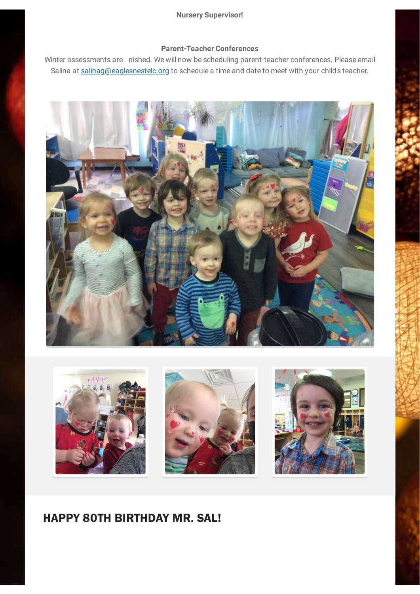#### **Nursery Supervisor!**

#### **Parent-Teacher Conferences**

Winter assessments are nished. We will now be scheduling parent-teacher conferences. Please email Salina at [salinag@eaglesnestelc.org](mailto:salinag@eaglesnestelc.org) to schedule a time and date to meet with your child's teacher.





### HAPPY 80TH BIRTHDAY MR. SAL!